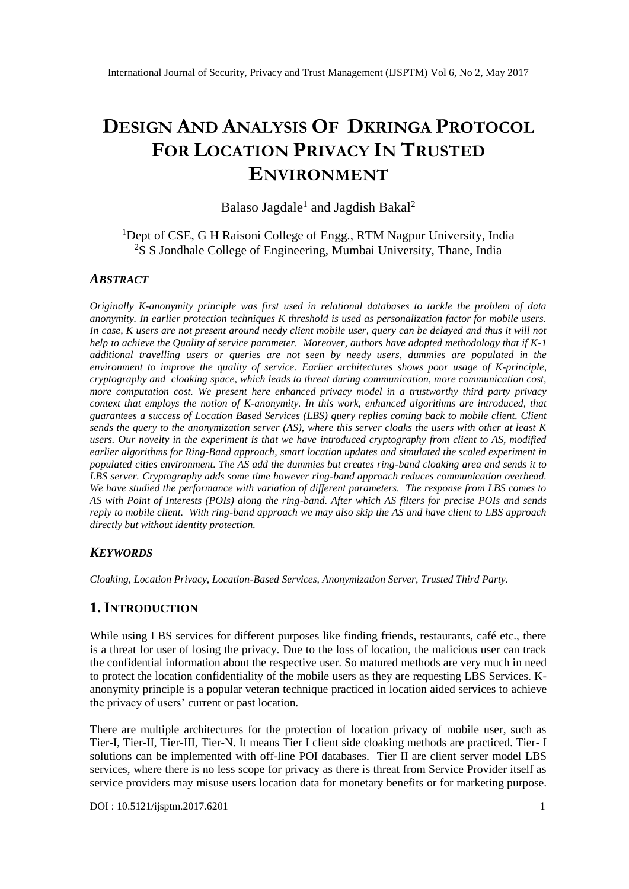# **DESIGN AND ANALYSIS OF DKRINGA PROTOCOL FOR LOCATION PRIVACY IN TRUSTED ENVIRONMENT**

Balaso Jagdale<sup>1</sup> and Jagdish Bakal<sup>2</sup>

# <sup>1</sup>Dept of CSE, G H Raisoni College of Engg., RTM Nagpur University, India <sup>2</sup>S S Jondhale College of Engineering, Mumbai University, Thane, India

#### *ABSTRACT*

*Originally K-anonymity principle was first used in relational databases to tackle the problem of data anonymity. In earlier protection techniques K threshold is used as personalization factor for mobile users. In case, K users are not present around needy client mobile user, query can be delayed and thus it will not help to achieve the Quality of service parameter. Moreover, authors have adopted methodology that if K-1 additional travelling users or queries are not seen by needy users, dummies are populated in the environment to improve the quality of service. Earlier architectures shows poor usage of K-principle, cryptography and cloaking space, which leads to threat during communication, more communication cost, more computation cost. We present here enhanced privacy model in a trustworthy third party privacy context that employs the notion of K-anonymity. In this work, enhanced algorithms are introduced, that guarantees a success of Location Based Services (LBS) query replies coming back to mobile client. Client sends the query to the anonymization server (AS), where this server cloaks the users with other at least K users. Our novelty in the experiment is that we have introduced cryptography from client to AS, modified earlier algorithms for Ring-Band approach, smart location updates and simulated the scaled experiment in populated cities environment. The AS add the dummies but creates ring-band cloaking area and sends it to LBS server. Cryptography adds some time however ring-band approach reduces communication overhead. We have studied the performance with variation of different parameters. The response from LBS comes to AS with Point of Interests (POIs) along the ring-band. After which AS filters for precise POIs and sends reply to mobile client. With ring-band approach we may also skip the AS and have client to LBS approach directly but without identity protection.*

# *KEYWORDS*

*Cloaking, Location Privacy, Location-Based Services, Anonymization Server, Trusted Third Party.*

# **1.INTRODUCTION**

While using LBS services for different purposes like finding friends, restaurants, café etc., there is a threat for user of losing the privacy. Due to the loss of location, the malicious user can track the confidential information about the respective user. So matured methods are very much in need to protect the location confidentiality of the mobile users as they are requesting LBS Services. Kanonymity principle is a popular veteran technique practiced in location aided services to achieve the privacy of users' current or past location.

There are multiple architectures for the protection of location privacy of mobile user, such as Tier-I, Tier-II, Tier-III, Tier-N. It means Tier I client side cloaking methods are practiced. Tier- I solutions can be implemented with off-line POI databases. Tier II are client server model LBS services, where there is no less scope for privacy as there is threat from Service Provider itself as service providers may misuse users location data for monetary benefits or for marketing purpose.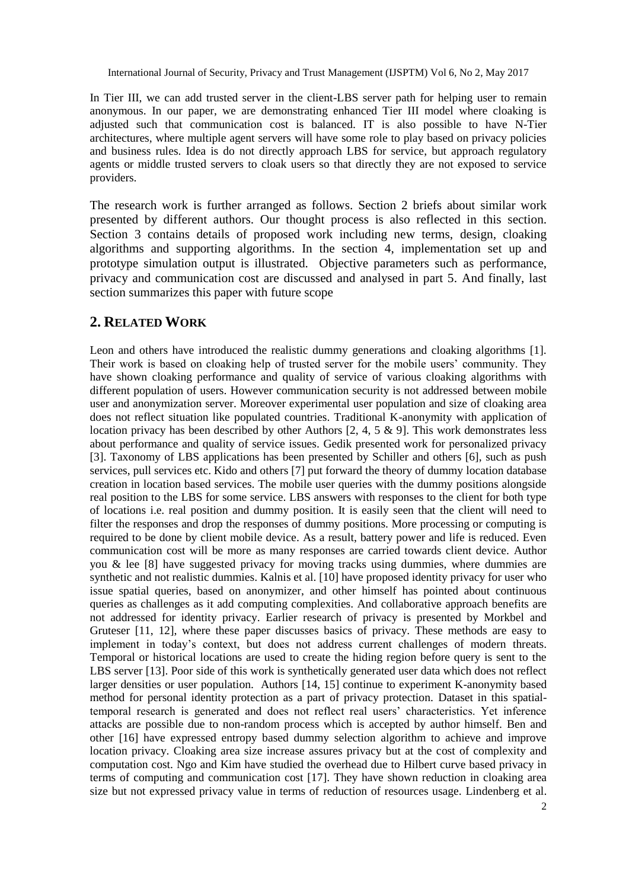In Tier III, we can add trusted server in the client-LBS server path for helping user to remain anonymous. In our paper, we are demonstrating enhanced Tier III model where cloaking is adjusted such that communication cost is balanced. IT is also possible to have N-Tier architectures, where multiple agent servers will have some role to play based on privacy policies and business rules. Idea is do not directly approach LBS for service, but approach regulatory agents or middle trusted servers to cloak users so that directly they are not exposed to service providers.

The research work is further arranged as follows. Section 2 briefs about similar work presented by different authors. Our thought process is also reflected in this section. Section 3 contains details of proposed work including new terms, design, cloaking algorithms and supporting algorithms. In the section 4, implementation set up and prototype simulation output is illustrated. Objective parameters such as performance, privacy and communication cost are discussed and analysed in part 5. And finally, last section summarizes this paper with future scope

# **2. RELATED WORK**

Leon and others have introduced the realistic dummy generations and cloaking algorithms [1]. Their work is based on cloaking help of trusted server for the mobile users' community. They have shown cloaking performance and quality of service of various cloaking algorithms with different population of users. However communication security is not addressed between mobile user and anonymization server. Moreover experimental user population and size of cloaking area does not reflect situation like populated countries. Traditional K-anonymity with application of location privacy has been described by other Authors [2, 4, 5 & 9]. This work demonstrates less about performance and quality of service issues. Gedik presented work for personalized privacy [3]. Taxonomy of LBS applications has been presented by Schiller and others [6], such as push services, pull services etc. Kido and others [7] put forward the theory of dummy location database creation in location based services. The mobile user queries with the dummy positions alongside real position to the LBS for some service. LBS answers with responses to the client for both type of locations i.e. real position and dummy position. It is easily seen that the client will need to filter the responses and drop the responses of dummy positions. More processing or computing is required to be done by client mobile device. As a result, battery power and life is reduced. Even communication cost will be more as many responses are carried towards client device. Author you & lee [8] have suggested privacy for moving tracks using dummies, where dummies are synthetic and not realistic dummies. Kalnis et al. [10] have proposed identity privacy for user who issue spatial queries, based on anonymizer, and other himself has pointed about continuous queries as challenges as it add computing complexities. And collaborative approach benefits are not addressed for identity privacy. Earlier research of privacy is presented by Morkbel and Gruteser [11, 12], where these paper discusses basics of privacy. These methods are easy to implement in today's context, but does not address current challenges of modern threats. Temporal or historical locations are used to create the hiding region before query is sent to the LBS server [13]. Poor side of this work is synthetically generated user data which does not reflect larger densities or user population. Authors [14, 15] continue to experiment K-anonymity based method for personal identity protection as a part of privacy protection. Dataset in this spatialtemporal research is generated and does not reflect real users' characteristics. Yet inference attacks are possible due to non-random process which is accepted by author himself. Ben and other [16] have expressed entropy based dummy selection algorithm to achieve and improve location privacy. Cloaking area size increase assures privacy but at the cost of complexity and computation cost. Ngo and Kim have studied the overhead due to Hilbert curve based privacy in terms of computing and communication cost [17]. They have shown reduction in cloaking area size but not expressed privacy value in terms of reduction of resources usage. Lindenberg et al.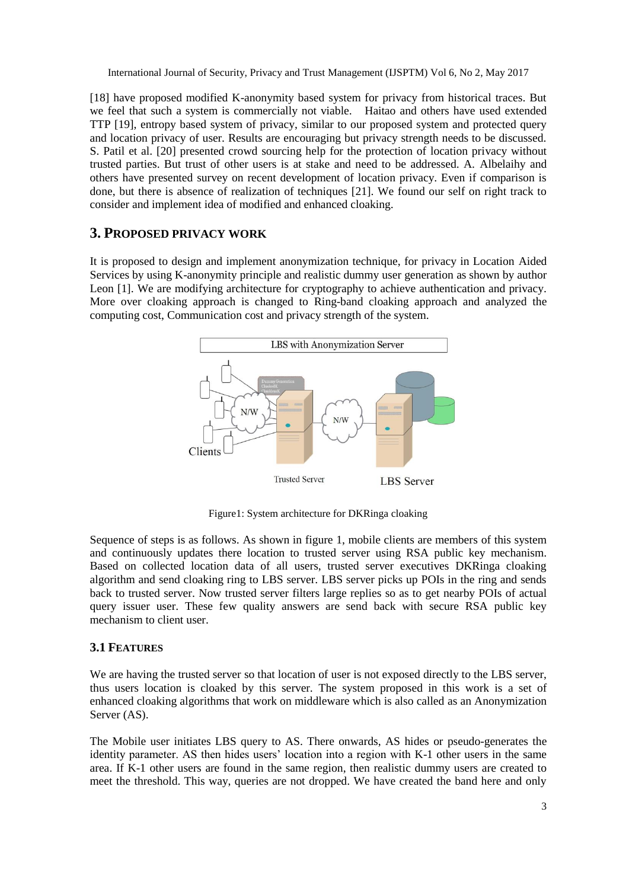[18] have proposed modified K-anonymity based system for privacy from historical traces. But we feel that such a system is commercially not viable. Haitao and others have used extended TTP [19], entropy based system of privacy, similar to our proposed system and protected query and location privacy of user. Results are encouraging but privacy strength needs to be discussed. S. Patil et al. [20] presented crowd sourcing help for the protection of location privacy without trusted parties. But trust of other users is at stake and need to be addressed. A. Albelaihy and others have presented survey on recent development of location privacy. Even if comparison is done, but there is absence of realization of techniques [21]. We found our self on right track to consider and implement idea of modified and enhanced cloaking.

# **3. PROPOSED PRIVACY WORK**

It is proposed to design and implement anonymization technique, for privacy in Location Aided Services by using K-anonymity principle and realistic dummy user generation as shown by author Leon [1]. We are modifying architecture for cryptography to achieve authentication and privacy. More over cloaking approach is changed to Ring-band cloaking approach and analyzed the computing cost, Communication cost and privacy strength of the system.



Figure1: System architecture for DKRinga cloaking

Sequence of steps is as follows. As shown in figure 1, mobile clients are members of this system and continuously updates there location to trusted server using RSA public key mechanism. Based on collected location data of all users, trusted server executives DKRinga cloaking algorithm and send cloaking ring to LBS server. LBS server picks up POIs in the ring and sends back to trusted server. Now trusted server filters large replies so as to get nearby POIs of actual query issuer user. These few quality answers are send back with secure RSA public key mechanism to client user.

# **3.1 FEATURES**

We are having the trusted server so that location of user is not exposed directly to the LBS server, thus users location is cloaked by this server. The system proposed in this work is a set of enhanced cloaking algorithms that work on middleware which is also called as an Anonymization Server (AS).

The Mobile user initiates LBS query to AS. There onwards, AS hides or pseudo-generates the identity parameter. AS then hides users' location into a region with K-1 other users in the same area. If K-1 other users are found in the same region, then realistic dummy users are created to meet the threshold. This way, queries are not dropped. We have created the band here and only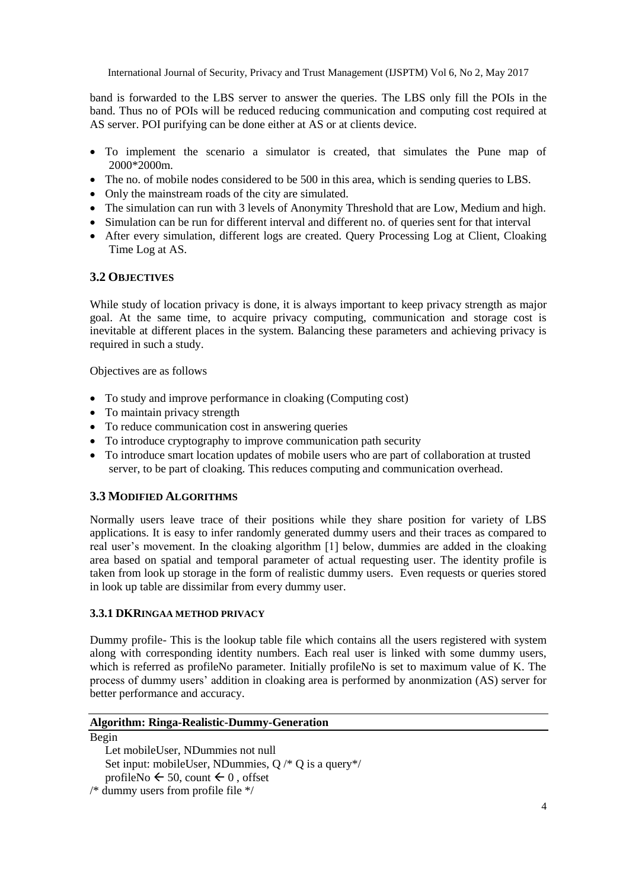band is forwarded to the LBS server to answer the queries. The LBS only fill the POIs in the band. Thus no of POIs will be reduced reducing communication and computing cost required at AS server. POI purifying can be done either at AS or at clients device.

- To implement the scenario a simulator is created, that simulates the Pune map of 2000\*2000m.
- The no. of mobile nodes considered to be 500 in this area, which is sending queries to LBS.
- Only the mainstream roads of the city are simulated.
- The simulation can run with 3 levels of Anonymity Threshold that are Low, Medium and high.
- Simulation can be run for different interval and different no. of queries sent for that interval
- After every simulation, different logs are created. Query Processing Log at Client, Cloaking Time Log at AS.

#### **3.2 OBJECTIVES**

While study of location privacy is done, it is always important to keep privacy strength as major goal. At the same time, to acquire privacy computing, communication and storage cost is inevitable at different places in the system. Balancing these parameters and achieving privacy is required in such a study.

Objectives are as follows

- To study and improve performance in cloaking (Computing cost)
- To maintain privacy strength
- To reduce communication cost in answering queries
- To introduce cryptography to improve communication path security
- To introduce smart location updates of mobile users who are part of collaboration at trusted server, to be part of cloaking. This reduces computing and communication overhead.

# **3.3 MODIFIED ALGORITHMS**

Normally users leave trace of their positions while they share position for variety of LBS applications. It is easy to infer randomly generated dummy users and their traces as compared to real user's movement. In the cloaking algorithm [1] below, dummies are added in the cloaking area based on spatial and temporal parameter of actual requesting user. The identity profile is taken from look up storage in the form of realistic dummy users. Even requests or queries stored in look up table are dissimilar from every dummy user.

#### **3.3.1 DKRINGAA METHOD PRIVACY**

Dummy profile- This is the lookup table file which contains all the users registered with system along with corresponding identity numbers. Each real user is linked with some dummy users, which is referred as profileNo parameter. Initially profileNo is set to maximum value of K. The process of dummy users' addition in cloaking area is performed by anonmization (AS) server for better performance and accuracy.

#### **Algorithm: Ringa-Realistic-Dummy-Generation**

#### Begin

Let mobileUser, NDummies not null Set input: mobileUser, NDummies, Q /\* Q is a query\*/ profileNo  $\leftarrow$  50, count  $\leftarrow$  0, offset

<sup>/\*</sup> dummy users from profile file \*/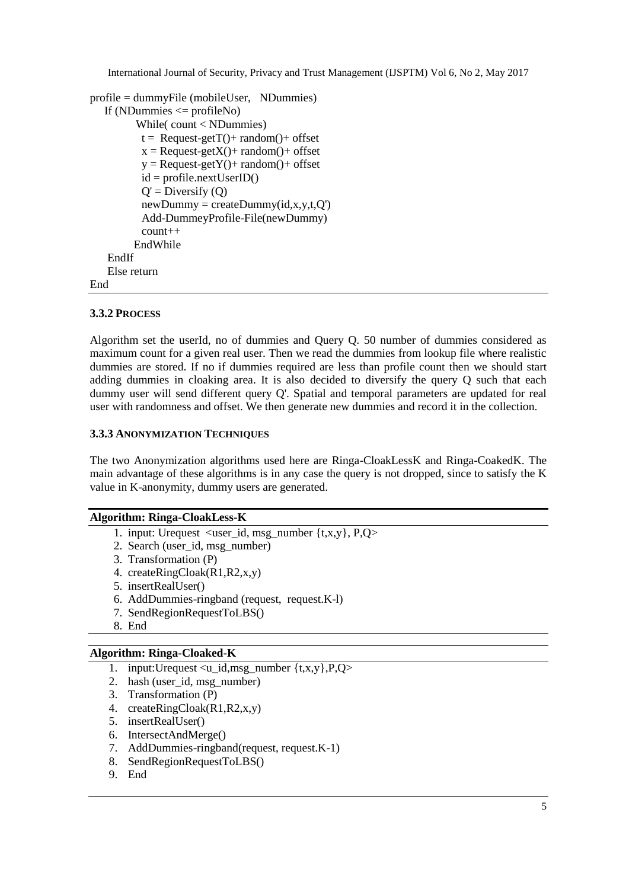```
International Journal of Security, Privacy and Trust Management (IJSPTM) Vol 6, No 2, May 2017
profile = dummyFile (mobileUser, NDummies)
   If (NDummies \leq profileNo)
           While( count < NDummies)
           t = \text{Request-getT}() + \text{random()} + \text{offset}x = Request.getX() + random() + offsety = Request.getY() + random() + offsetid = profile.nextUserID()Q' = \text{Diversity (Q)}newDummy = createDummv(id, x, v.t.O') Add-DummeyProfile-File(newDummy)
            count++
          EndWhile
    EndIf
    Else return
End
```
# **3.3.2 PROCESS**

Algorithm set the userId, no of dummies and Query Q. 50 number of dummies considered as maximum count for a given real user. Then we read the dummies from lookup file where realistic dummies are stored. If no if dummies required are less than profile count then we should start adding dummies in cloaking area. It is also decided to diversify the query Q such that each dummy user will send different query Q'. Spatial and temporal parameters are updated for real user with randomness and offset. We then generate new dummies and record it in the collection.

#### **3.3.3 ANONYMIZATION TECHNIQUES**

The two Anonymization algorithms used here are Ringa-CloakLessK and Ringa-CoakedK. The main advantage of these algorithms is in any case the query is not dropped, since to satisfy the K value in K-anonymity, dummy users are generated.

#### **Algorithm: Ringa-CloakLess-K**

- 1. input: Urequest  $\langle$ user\_id, msg\_number  $\{t, x, y\}$ , P,Q $>$
- 2. Search (user\_id, msg\_number)
- 3. Transformation (P)
- 4. createRingCloak(R1,R2,x,y)
- 5. insertRealUser()
- 6. AddDummies-ringband (request, request.K-l)
- 7. SendRegionRequestToLBS()
- 8. End

# **Algorithm: Ringa-Cloaked-K**

- 1. input:Urequest  $\langle u \rangle$  id,msg\_number  $\{t,x,y\}$ , P, O
- 2. hash (user\_id, msg\_number)
- 3. Transformation (P)
- 4. createRingCloak(R1,R2,x,y)
- 5. insertRealUser()
- 6. IntersectAndMerge()
- 7. AddDummies-ringband(request, request.K-1)
- 8. SendRegionRequestToLBS()
- 9. End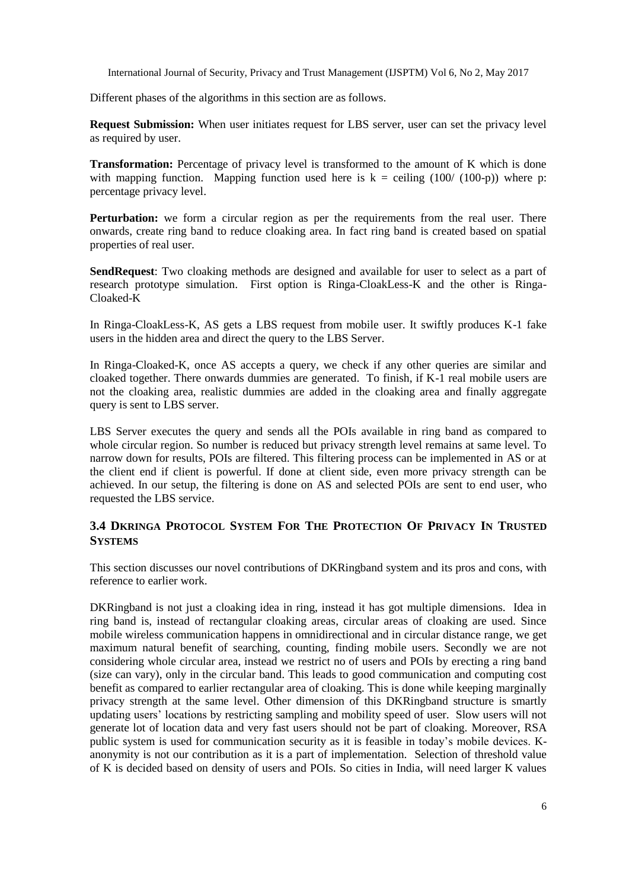Different phases of the algorithms in this section are as follows.

**Request Submission:** When user initiates request for LBS server, user can set the privacy level as required by user.

**Transformation:** Percentage of privacy level is transformed to the amount of K which is done with mapping function. Mapping function used here is  $k =$  ceiling (100/ (100-p)) where p: percentage privacy level.

Perturbation: we form a circular region as per the requirements from the real user. There onwards, create ring band to reduce cloaking area. In fact ring band is created based on spatial properties of real user.

**SendRequest**: Two cloaking methods are designed and available for user to select as a part of research prototype simulation. First option is Ringa-CloakLess-K and the other is Ringa-Cloaked-K

In Ringa-CloakLess-K, AS gets a LBS request from mobile user. It swiftly produces K-1 fake users in the hidden area and direct the query to the LBS Server.

In Ringa-Cloaked-K, once AS accepts a query, we check if any other queries are similar and cloaked together. There onwards dummies are generated. To finish, if K-1 real mobile users are not the cloaking area, realistic dummies are added in the cloaking area and finally aggregate query is sent to LBS server.

LBS Server executes the query and sends all the POIs available in ring band as compared to whole circular region. So number is reduced but privacy strength level remains at same level. To narrow down for results, POIs are filtered. This filtering process can be implemented in AS or at the client end if client is powerful. If done at client side, even more privacy strength can be achieved. In our setup, the filtering is done on AS and selected POIs are sent to end user, who requested the LBS service.

# **3.4 DKRINGA PROTOCOL SYSTEM FOR THE PROTECTION OF PRIVACY IN TRUSTED SYSTEMS**

This section discusses our novel contributions of DKRingband system and its pros and cons, with reference to earlier work.

DKRingband is not just a cloaking idea in ring, instead it has got multiple dimensions. Idea in ring band is, instead of rectangular cloaking areas, circular areas of cloaking are used. Since mobile wireless communication happens in omnidirectional and in circular distance range, we get maximum natural benefit of searching, counting, finding mobile users. Secondly we are not considering whole circular area, instead we restrict no of users and POIs by erecting a ring band (size can vary), only in the circular band. This leads to good communication and computing cost benefit as compared to earlier rectangular area of cloaking. This is done while keeping marginally privacy strength at the same level. Other dimension of this DKRingband structure is smartly updating users' locations by restricting sampling and mobility speed of user. Slow users will not generate lot of location data and very fast users should not be part of cloaking. Moreover, RSA public system is used for communication security as it is feasible in today's mobile devices. Kanonymity is not our contribution as it is a part of implementation. Selection of threshold value of K is decided based on density of users and POIs. So cities in India, will need larger K values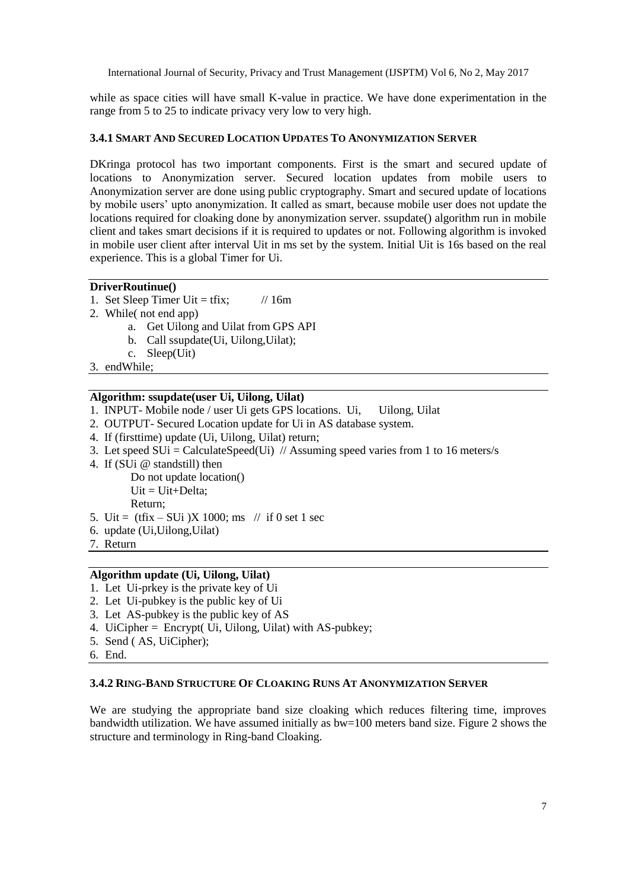while as space cities will have small K-value in practice. We have done experimentation in the range from 5 to 25 to indicate privacy very low to very high.

#### **3.4.1 SMART AND SECURED LOCATION UPDATES TO ANONYMIZATION SERVER**

DKringa protocol has two important components. First is the smart and secured update of locations to Anonymization server. Secured location updates from mobile users to Anonymization server are done using public cryptography. Smart and secured update of locations by mobile users' upto anonymization. It called as smart, because mobile user does not update the locations required for cloaking done by anonymization server. ssupdate() algorithm run in mobile client and takes smart decisions if it is required to updates or not. Following algorithm is invoked in mobile user client after interval Uit in ms set by the system. Initial Uit is 16s based on the real experience. This is a global Timer for Ui.

#### **DriverRoutinue()**

- 1. Set Sleep Timer Uit = tfix;  $\frac{1}{16m}$
- 2. While( not end app)
	- a. Get Uilong and Uilat from GPS API
	- b. Call ssupdate(Ui, Uilong,Uilat);
	- c. Sleep(Uit)
- 3. endWhile;

#### **Algorithm: ssupdate(user Ui, Uilong, Uilat)**

- 1. INPUT- Mobile node / user Ui gets GPS locations. Ui, Uilong, Uilat
- 2. OUTPUT- Secured Location update for Ui in AS database system.
- 4. If (firsttime) update (Ui, Uilong, Uilat) return;
- 3. Let speed SUi = CalculateSpeed(Ui) // Assuming speed varies from 1 to 16 meters/s
- 4. If (SUi @ standstill) then

 Do not update location()  $Uit = Uit + Delta;$ Return;

- 5. Uit =  $(t$ fix SUi  $\overline{X}$  1000; ms  $\overline{Y}$  if 0 set 1 sec
- 6. update (Ui,Uilong,Uilat)
- 7. Return

### **Algorithm update (Ui, Uilong, Uilat)**

- 1. Let Ui-prkey is the private key of Ui
- 2. Let Ui-pubkey is the public key of Ui
- 3. Let AS-pubkey is the public key of AS
- 4. UiCipher = Encrypt( Ui, Uilong, Uilat) with AS-pubkey;
- 5. Send ( AS, UiCipher);
- 6. End.

#### **3.4.2 RING-BAND STRUCTURE OF CLOAKING RUNS AT ANONYMIZATION SERVER**

We are studying the appropriate band size cloaking which reduces filtering time, improves bandwidth utilization. We have assumed initially as bw=100 meters band size. Figure 2 shows the structure and terminology in Ring-band Cloaking.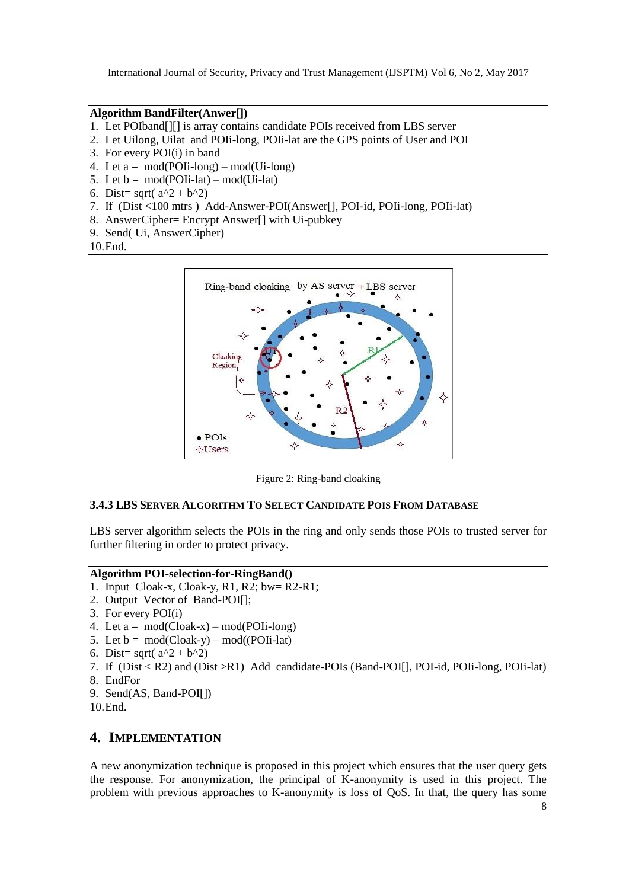# **Algorithm BandFilter(Anwer[])**

- 1. Let POIband[][] is array contains candidate POIs received from LBS server
- 2. Let Uilong, Uilat and POIi-long, POIi-lat are the GPS points of User and POI
- 3. For every POI(i) in band
- 4. Let  $a = mod(POIi-long) mod(Ui-long)$
- 5. Let  $b = mod(POI -1at) mod(U -1at)$
- 6. Dist= sqrt( $a^2 + b^2$ )
- 7. If (Dist <100 mtrs ) Add-Answer-POI(Answer[], POI-id, POIi-long, POIi-lat)
- 8. AnswerCipher= Encrypt Answer[] with Ui-pubkey
- 9. Send( Ui, AnswerCipher)

10.End.



Figure 2: Ring-band cloaking

#### **3.4.3 LBS SERVER ALGORITHM TO SELECT CANDIDATE POIS FROM DATABASE**

LBS server algorithm selects the POIs in the ring and only sends those POIs to trusted server for further filtering in order to protect privacy.

#### **Algorithm POI-selection-for-RingBand()**

- 1. Input Cloak-x, Cloak-y, R1, R2; bw= R2-R1;
- 2. Output Vector of Band-POI[];
- 3. For every POI(i)
- 4. Let  $a = mod(Cloak-x) mod(POIi-long)$
- 5. Let  $b = mod(Cloak-y) mod(POI-lat)$
- 6. Dist= sqrt( $a^2 + b^2$ )
- 7. If (Dist < R2) and (Dist >R1) Add candidate-POIs (Band-POI[], POI-id, POIi-long, POIi-lat)
- 8. EndFor
- 9. Send(AS, Band-POI[])
- 10.End.

# **4. IMPLEMENTATION**

A new anonymization technique is proposed in this project which ensures that the user query gets the response. For anonymization, the principal of K-anonymity is used in this project. The problem with previous approaches to K-anonymity is loss of QoS. In that, the query has some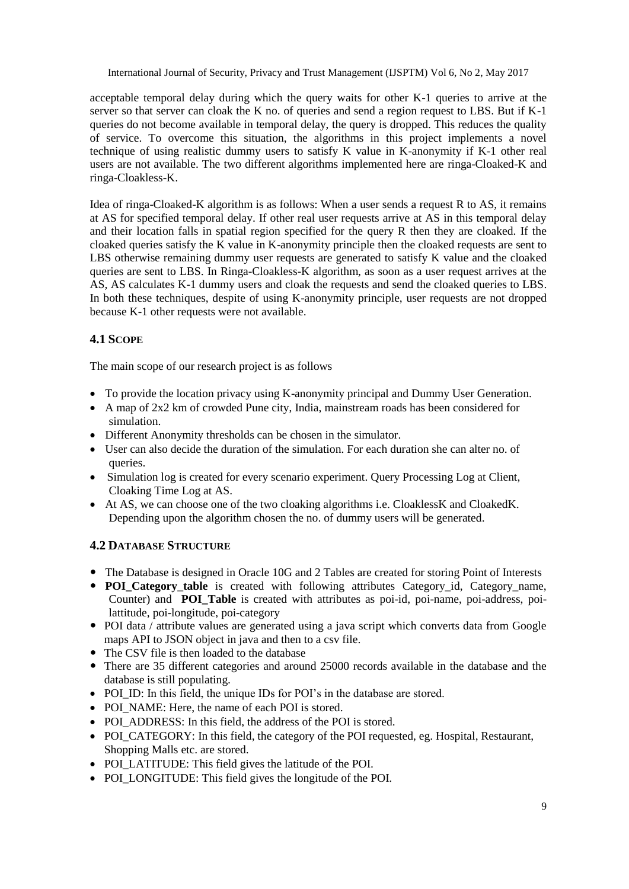acceptable temporal delay during which the query waits for other K-1 queries to arrive at the server so that server can cloak the K no. of queries and send a region request to LBS. But if K-1 queries do not become available in temporal delay, the query is dropped. This reduces the quality of service. To overcome this situation, the algorithms in this project implements a novel technique of using realistic dummy users to satisfy K value in K-anonymity if K-1 other real users are not available. The two different algorithms implemented here are ringa-Cloaked-K and ringa-Cloakless-K.

Idea of ringa-Cloaked-K algorithm is as follows: When a user sends a request R to AS, it remains at AS for specified temporal delay. If other real user requests arrive at AS in this temporal delay and their location falls in spatial region specified for the query R then they are cloaked. If the cloaked queries satisfy the K value in K-anonymity principle then the cloaked requests are sent to LBS otherwise remaining dummy user requests are generated to satisfy K value and the cloaked queries are sent to LBS. In Ringa-Cloakless-K algorithm, as soon as a user request arrives at the AS, AS calculates K-1 dummy users and cloak the requests and send the cloaked queries to LBS. In both these techniques, despite of using K-anonymity principle, user requests are not dropped because K-1 other requests were not available.

# **4.1 SCOPE**

The main scope of our research project is as follows

- To provide the location privacy using K-anonymity principal and Dummy User Generation.
- $\bullet$  A map of 2x2 km of crowded Pune city, India, mainstream roads has been considered for simulation.
- Different Anonymity thresholds can be chosen in the simulator.
- User can also decide the duration of the simulation. For each duration she can alter no. of queries.
- Simulation log is created for every scenario experiment. Query Processing Log at Client, Cloaking Time Log at AS.
- At AS, we can choose one of the two cloaking algorithms i.e. CloaklessK and CloakedK. Depending upon the algorithm chosen the no. of dummy users will be generated.

# **4.2 DATABASE STRUCTURE**

- The Database is designed in Oracle 10G and 2 Tables are created for storing Point of Interests
- **POI Category table** is created with following attributes Category id, Category name, Counter) and **POI** Table is created with attributes as poi-id, poi-name, poi-address, poilattitude, poi-longitude, poi-category
- POI data / attribute values are generated using a java script which converts data from Google maps API to JSON object in java and then to a csv file.
- The CSV file is then loaded to the database
- There are 35 different categories and around 25000 records available in the database and the database is still populating.
- POI\_ID: In this field, the unique IDs for POI's in the database are stored.
- POI\_NAME: Here, the name of each POI is stored.
- POI ADDRESS: In this field, the address of the POI is stored.
- POI CATEGORY: In this field, the category of the POI requested, eg. Hospital, Restaurant, Shopping Malls etc. are stored.
- POI\_LATITUDE: This field gives the latitude of the POI.
- POI\_LONGITUDE: This field gives the longitude of the POI.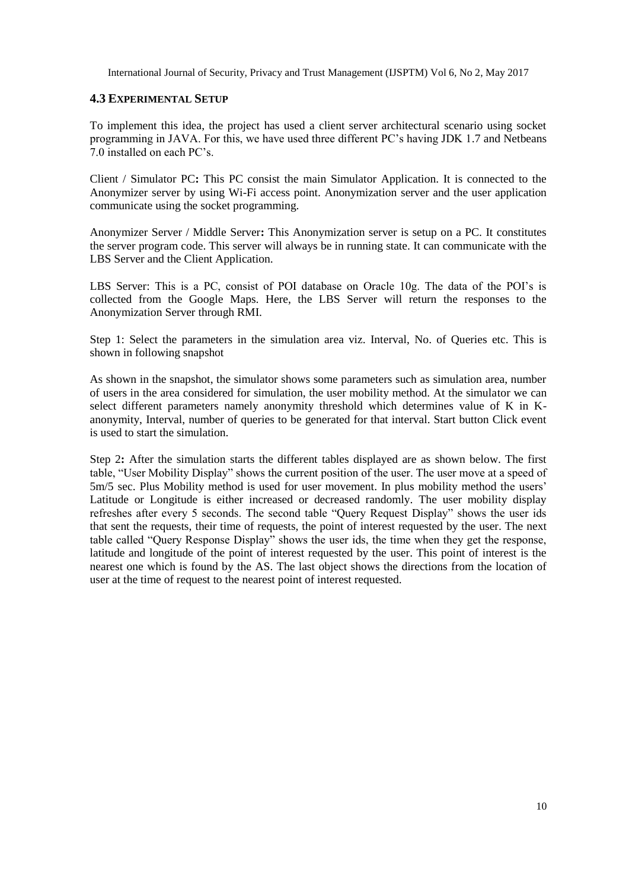#### **4.3 EXPERIMENTAL SETUP**

To implement this idea, the project has used a client server architectural scenario using socket programming in JAVA. For this, we have used three different PC's having JDK 1.7 and Netbeans 7.0 installed on each PC's.

Client / Simulator PC**:** This PC consist the main Simulator Application. It is connected to the Anonymizer server by using Wi-Fi access point. Anonymization server and the user application communicate using the socket programming.

Anonymizer Server / Middle Server**:** This Anonymization server is setup on a PC. It constitutes the server program code. This server will always be in running state. It can communicate with the LBS Server and the Client Application.

LBS Server: This is a PC, consist of POI database on Oracle 10g. The data of the POI's is collected from the Google Maps. Here, the LBS Server will return the responses to the Anonymization Server through RMI.

Step 1: Select the parameters in the simulation area viz. Interval, No. of Queries etc. This is shown in following snapshot

As shown in the snapshot, the simulator shows some parameters such as simulation area, number of users in the area considered for simulation, the user mobility method. At the simulator we can select different parameters namely anonymity threshold which determines value of K in Kanonymity, Interval, number of queries to be generated for that interval. Start button Click event is used to start the simulation.

Step 2**:** After the simulation starts the different tables displayed are as shown below. The first table, "User Mobility Display" shows the current position of the user. The user move at a speed of 5m/5 sec. Plus Mobility method is used for user movement. In plus mobility method the users' Latitude or Longitude is either increased or decreased randomly. The user mobility display refreshes after every 5 seconds. The second table "Query Request Display" shows the user ids that sent the requests, their time of requests, the point of interest requested by the user. The next table called "Query Response Display" shows the user ids, the time when they get the response, latitude and longitude of the point of interest requested by the user. This point of interest is the nearest one which is found by the AS. The last object shows the directions from the location of user at the time of request to the nearest point of interest requested.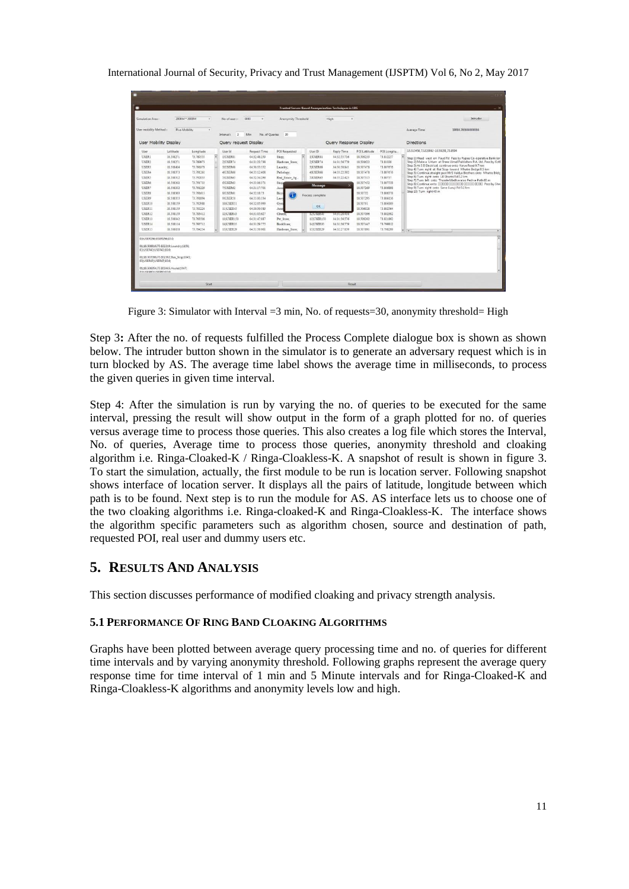| User mobility Method:                                                                                                                                         | Plus Mobility                                                                                                                                                                                   | ×                                                                                                                                                                                                | 30<br>$-3$<br>No. of Queries<br>Interval:<br>Min                                                                                                                                                                   |                                                                                                                                                                                                                                                    |                                                                                                                                                                                         |  |                                                                                                                                                               |                                                                                                                                           |                                                                                                                                                                                                   |                                                                                                                                                                                                  | 19804.766666666666<br>Average Time                                                                                                                                                                                              |                                                                                                                                                                                                                                                                                                                                                                                                               |
|---------------------------------------------------------------------------------------------------------------------------------------------------------------|-------------------------------------------------------------------------------------------------------------------------------------------------------------------------------------------------|--------------------------------------------------------------------------------------------------------------------------------------------------------------------------------------------------|--------------------------------------------------------------------------------------------------------------------------------------------------------------------------------------------------------------------|----------------------------------------------------------------------------------------------------------------------------------------------------------------------------------------------------------------------------------------------------|-----------------------------------------------------------------------------------------------------------------------------------------------------------------------------------------|--|---------------------------------------------------------------------------------------------------------------------------------------------------------------|-------------------------------------------------------------------------------------------------------------------------------------------|---------------------------------------------------------------------------------------------------------------------------------------------------------------------------------------------------|--------------------------------------------------------------------------------------------------------------------------------------------------------------------------------------------------|---------------------------------------------------------------------------------------------------------------------------------------------------------------------------------------------------------------------------------|---------------------------------------------------------------------------------------------------------------------------------------------------------------------------------------------------------------------------------------------------------------------------------------------------------------------------------------------------------------------------------------------------------------|
| User Mobility Display                                                                                                                                         |                                                                                                                                                                                                 |                                                                                                                                                                                                  | Query request Display                                                                                                                                                                                              |                                                                                                                                                                                                                                                    |                                                                                                                                                                                         |  | Query Response Display                                                                                                                                        |                                                                                                                                           |                                                                                                                                                                                                   |                                                                                                                                                                                                  | Directions                                                                                                                                                                                                                      |                                                                                                                                                                                                                                                                                                                                                                                                               |
| User<br>USER1<br>USER2<br>USER3<br>USER4<br>USER5<br><b>USER6</b><br>USER7<br><b>USERS</b><br><b>LISERO</b><br>USER10<br>USER11<br>USER12<br>USER13<br>USER14 | Lattitude<br>18.508271<br>18.508271<br>18:508404<br>18,508373<br>18.508312<br>18,508302<br>18,508332<br>18.508363<br>18,508353<br>18.508159<br>18,508159<br>18,508159<br>18.508042<br>18.508114 | Longitude<br>73.789555<br>73.789973<br>73,791078<br>73.791261<br>73.702033<br>73.791733<br>73.791229<br>73.791615<br>73,701,904<br>73.792988<br>73.793224<br>73.793412<br>73,793508<br>73.793712 | User Id<br><b>IJUSER81</b><br>21USER74<br>3)USER68<br>4)USER68<br><b>SIUSER65</b><br>6)USER63<br>7)USER62<br>\$)USER61<br><b><i>PIUSERSS</i></b><br>10)USER51<br>11)USER45<br>12)USER43<br>13)USER150<br>14)USER35 | <b>Request Time</b><br>04:32:48:250<br>04:31:23:738<br>04:30:53:552<br>04:33:12:408<br>04:32:54:296<br>04:33:06:371<br>04:31:17:701<br>04:32:18:73<br>04:37:00:334<br>04:32:05:999<br>04:30:59:589<br>04:31:05:627<br>04:31:47:887<br>04:31:29:775 | POI Requested<br>Shop:<br>Hardware Store;<br>Laundry;<br>Pathology;<br>Real Estate Ag<br>Shope<br>Acco<br>Bicy<br>Ŧ<br>Law<br><b>Gym</b><br>Acco<br>Church.<br>Pet Store;<br>BookStore: |  | User ID<br><b>IJUSERS1</b><br>2)USER74<br>3)USER68<br>4)USER68<br>5)03ER65<br>Message<br>Process complete<br>OK<br><b>ENUSPRES</b><br>15)USER150<br>14)USER35 | Reply Time<br>04:32:55:716<br>04:31:56:779<br>04:30:58:841<br>04:33:22:392<br>04:33:22:423<br>12939882333<br>04:31:56:576<br>04:31:56:779 | POI Lattitude<br>18.509233<br>18,508622<br>18,507478<br>18.507478<br>18,507315<br>18 507452<br>18,507269<br>18.50732<br>18.507295<br>18,50791<br>18.506928<br>18,507096<br>18,509202<br>18,507447 | POI Longitu<br>73.812257<br>73.81038<br>73 807676<br>73.807676<br>73, 80737<br>73.807558<br>71,906998<br>73.806378<br>73 806136<br>73.804109<br>73 802564<br>73.802392<br>73.821892<br>73,799812 | 18.510456.73.819062-18.50291.73.8504<br>Step 3) At S B Electrical, continue onto Karve Road 0.7 km<br>Step 6) Turn right onto LB Shastri Rd 0.2 km<br>Step 9) Turn right onto Sane Guruji Rd 0.2 km<br>Step 10) Turn right 40 m | Step 1) Head west on Paud Rd Pass by Rupee Co-operative Bank (or<br>Step 2) Make a U-turn at Shree Vimal Publishers Pvt. Ltd. Pass by Koti.<br>Step 4) Turn right at Nal Stop toward Mhatre Bridge 0.5 km<br>Step 5) Continue straight past M/S Vaidya Brothers onto Mhatre Bridg<br>Step 7) Turn left onto Thorale Madhavarao Peshve Path 60 m<br>Step 8) Continue onto DDDDD DDDDDD DDDDD DDDD Pass by Shre |
| USER15<br>03:USER156:USER156:10.0:<br>03:USER43:USER43:10.0:<br>03:USER47:USER47:10.0:                                                                        | 18,508058<br>01:18.508816.73.822219;Laundry:1156;<br>01:18.507096.73.802392:Bus. Stop:1043:<br>01:18.506954.73.803465:Hostel:1047:                                                              | 73.794254                                                                                                                                                                                        | 15)USER29                                                                                                                                                                                                          | 04:31:59:961                                                                                                                                                                                                                                       | Hardware Store;                                                                                                                                                                         |  | 15)USER29                                                                                                                                                     | 04:32:27:839                                                                                                                              | 18,507691                                                                                                                                                                                         | 73.798299<br>w                                                                                                                                                                                   | $\sqrt{4}$                                                                                                                                                                                                                      |                                                                                                                                                                                                                                                                                                                                                                                                               |

Figure 3: Simulator with Interval  $=3$  min, No. of requests=30, anonymity threshold= High

Step 3**:** After the no. of requests fulfilled the Process Complete dialogue box is shown as shown below. The intruder button shown in the simulator is to generate an adversary request which is in turn blocked by AS. The average time label shows the average time in milliseconds, to process the given queries in given time interval.

Step 4: After the simulation is run by varying the no. of queries to be executed for the same interval, pressing the result will show output in the form of a graph plotted for no. of queries versus average time to process those queries. This also creates a log file which stores the Interval, No. of queries, Average time to process those queries, anonymity threshold and cloaking algorithm i.e. Ringa-Cloaked-K / Ringa-Cloakless-K. A snapshot of result is shown in figure 3. To start the simulation, actually, the first module to be run is location server. Following snapshot shows interface of location server. It displays all the pairs of latitude, longitude between which path is to be found. Next step is to run the module for AS. AS interface lets us to choose one of the two cloaking algorithms i.e. Ringa-cloaked-K and Ringa-Cloakless-K. The interface shows the algorithm specific parameters such as algorithm chosen, source and destination of path, requested POI, real user and dummy users etc.

# **5. RESULTS AND ANALYSIS**

This section discusses performance of modified cloaking and privacy strength analysis.

#### **5.1 PERFORMANCE OF RING BAND CLOAKING ALGORITHMS**

Graphs have been plotted between average query processing time and no. of queries for different time intervals and by varying anonymity threshold. Following graphs represent the average query response time for time interval of 1 min and 5 Minute intervals and for Ringa-Cloaked-K and Ringa-Cloakless-K algorithms and anonymity levels low and high.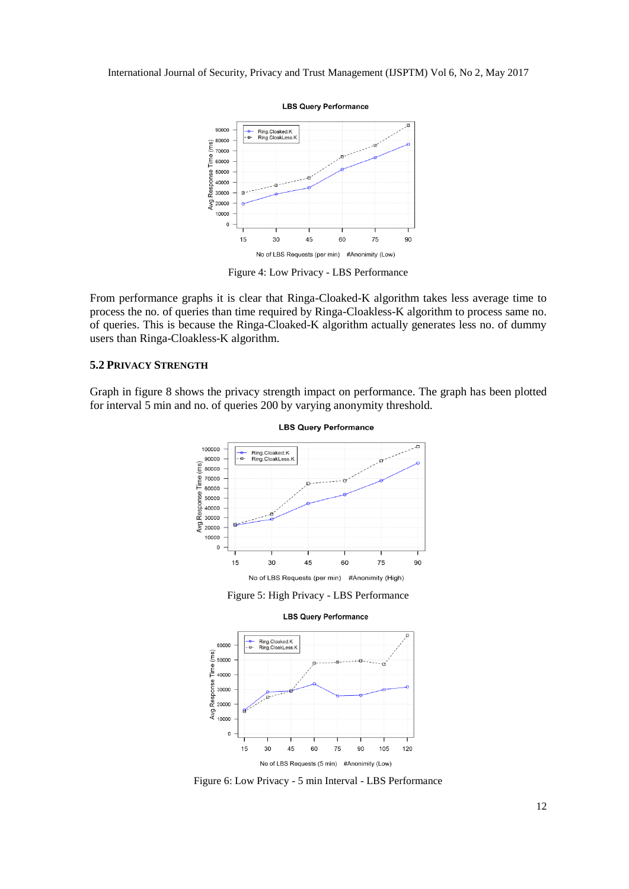

Figure 4: Low Privacy - LBS Performance

From performance graphs it is clear that Ringa-Cloaked-K algorithm takes less average time to process the no. of queries than time required by Ringa-Cloakless-K algorithm to process same no. of queries. This is because the Ringa-Cloaked-K algorithm actually generates less no. of dummy users than Ringa-Cloakless-K algorithm.

#### **5.2 PRIVACY STRENGTH**

Graph in figure 8 shows the privacy strength impact on performance. The graph has been plotted for interval 5 min and no. of queries 200 by varying anonymity threshold.



Figure 5: High Privacy - LBS Performance



Figure 6: Low Privacy - 5 min Interval - LBS Performance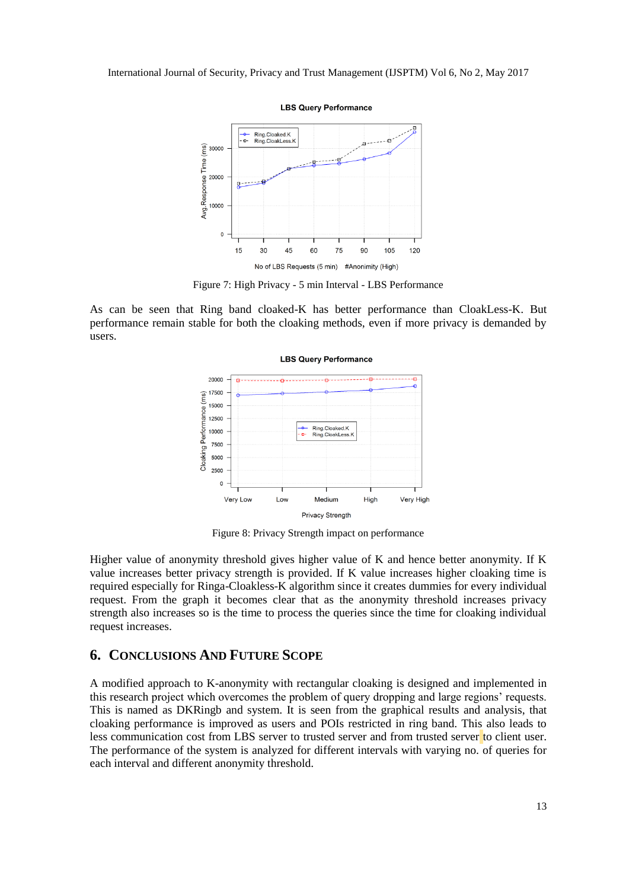

Figure 7: High Privacy - 5 min Interval - LBS Performance

As can be seen that Ring band cloaked-K has better performance than CloakLess-K. But performance remain stable for both the cloaking methods, even if more privacy is demanded by users.



Figure 8: Privacy Strength impact on performance

Higher value of anonymity threshold gives higher value of K and hence better anonymity. If K value increases better privacy strength is provided. If K value increases higher cloaking time is required especially for Ringa-Cloakless-K algorithm since it creates dummies for every individual request. From the graph it becomes clear that as the anonymity threshold increases privacy strength also increases so is the time to process the queries since the time for cloaking individual request increases.

#### **6. CONCLUSIONS AND FUTURE SCOPE**

A modified approach to K-anonymity with rectangular cloaking is designed and implemented in this research project which overcomes the problem of query dropping and large regions' requests. This is named as DKRingb and system. It is seen from the graphical results and analysis, that cloaking performance is improved as users and POIs restricted in ring band. This also leads to less communication cost from LBS server to trusted server and from trusted server to client user. The performance of the system is analyzed for different intervals with varying no. of queries for each interval and different anonymity threshold.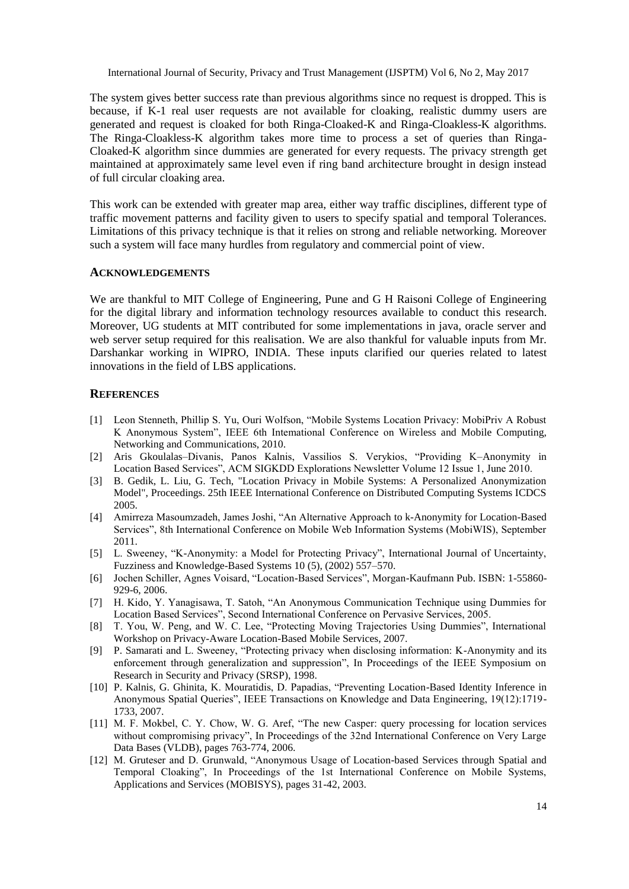The system gives better success rate than previous algorithms since no request is dropped. This is because, if K-1 real user requests are not available for cloaking, realistic dummy users are generated and request is cloaked for both Ringa-Cloaked-K and Ringa-Cloakless-K algorithms. The Ringa-Cloakless-K algorithm takes more time to process a set of queries than Ringa-Cloaked-K algorithm since dummies are generated for every requests. The privacy strength get maintained at approximately same level even if ring band architecture brought in design instead of full circular cloaking area.

This work can be extended with greater map area, either way traffic disciplines, different type of traffic movement patterns and facility given to users to specify spatial and temporal Tolerances. Limitations of this privacy technique is that it relies on strong and reliable networking. Moreover such a system will face many hurdles from regulatory and commercial point of view.

#### **ACKNOWLEDGEMENTS**

We are thankful to MIT College of Engineering, Pune and G H Raisoni College of Engineering for the digital library and information technology resources available to conduct this research. Moreover, UG students at MIT contributed for some implementations in java, oracle server and web server setup required for this realisation. We are also thankful for valuable inputs from Mr. Darshankar working in WIPRO, INDIA. These inputs clarified our queries related to latest innovations in the field of LBS applications.

#### **REFERENCES**

- [1] Leon Stenneth, Phillip S. Yu, Ouri Wolfson, "Mobile Systems Location Privacy: MobiPriv A Robust K Anonymous System", IEEE 6th Intemational Conference on Wireless and Mobile Computing, Networking and Communications, 2010.
- [2] Aris Gkoulalas–Divanis, Panos Kalnis, Vassilios S. Verykios, "Providing K–Anonymity in Location Based Services", ACM SIGKDD Explorations Newsletter Volume 12 Issue 1, June 2010.
- [3] B. Gedik, L. Liu, G. Tech, "Location Privacy in Mobile Systems: A Personalized Anonymization Model", Proceedings. 25th IEEE International Conference on Distributed Computing Systems ICDCS 2005.
- [4] Amirreza Masoumzadeh, James Joshi, "An Alternative Approach to k-Anonymity for Location-Based Services", 8th International Conference on Mobile Web Information Systems (MobiWIS), September 2011.
- [5] L. Sweeney, "K-Anonymity: a Model for Protecting Privacy", International Journal of Uncertainty, Fuzziness and Knowledge-Based Systems 10 (5), (2002) 557–570.
- [6] Jochen Schiller, Agnes Voisard, "Location-Based Services", Morgan-Kaufmann Pub. ISBN: 1-55860- 929-6, 2006.
- [7] H. Kido, Y. Yanagisawa, T. Satoh, "An Anonymous Communication Technique using Dummies for Location Based Services", Second International Conference on Pervasive Services, 2005.
- [8] T. You, W. Peng, and W. C. Lee, "Protecting Moving Trajectories Using Dummies", International Workshop on Privacy-Aware Location-Based Mobile Services, 2007.
- [9] P. Samarati and L. Sweeney, "Protecting privacy when disclosing information: K-Anonymity and its enforcement through generalization and suppression", In Proceedings of the IEEE Symposium on Research in Security and Privacy (SRSP), 1998.
- [10] P. Kalnis, G. Ghinita, K. Mouratidis, D. Papadias, "Preventing Location-Based Identity Inference in Anonymous Spatial Queries", IEEE Transactions on Knowledge and Data Engineering, 19(12):1719- 1733, 2007.
- [11] M. F. Mokbel, C. Y. Chow, W. G. Aref, "The new Casper: query processing for location services without compromising privacy", In Proceedings of the 32nd International Conference on Very Large Data Bases (VLDB), pages 763-774, 2006.
- [12] M. Gruteser and D. Grunwald, "Anonymous Usage of Location-based Services through Spatial and Temporal Cloaking", In Proceedings of the 1st International Conference on Mobile Systems, Applications and Services (MOBISYS), pages 31-42, 2003.